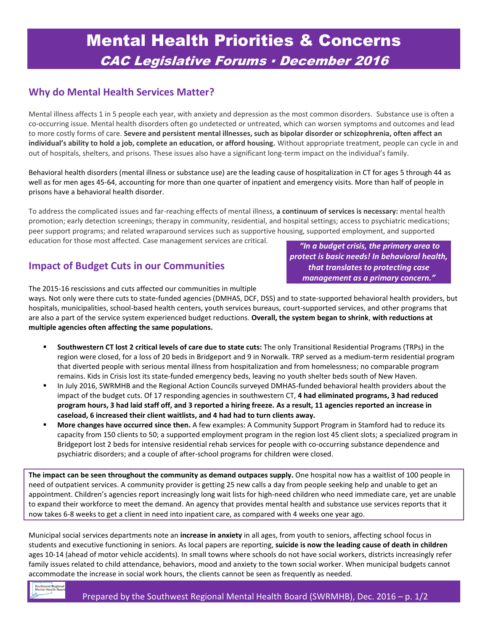# Mental Health Priorities & Concerns CAC Legislative Forums ▪ December 2016

#### **Why do Mental Health Services Matter?**

Mental illness affects 1 in 5 people each year, with anxiety and depression as the most common disorders. Substance use is often a co-occurring issue. Mental health disorders often go undetected or untreated, which can worsen symptoms and outcomes and lead to more costly forms of care. **Severe and persistent mental illnesses, such as bipolar disorder or schizophrenia, often affect an individual's ability to hold a job, complete an education, or afford housing.** Without appropriate treatment, people can cycle in and out of hospitals, shelters, and prisons. These issues also have a significant long-term impact on the individual's family.

Behavioral health disorders (mental illness or substance use) are the leading cause of hospitalization in CT for ages 5 through 44 as well as for men ages 45-64, accounting for more than one quarter of inpatient and emergency visits. More than half of people in prisons have a behavioral health disorder.

To address the complicated issues and far-reaching effects of mental illness, **a continuum of services is necessary:** mental health promotion; early detection screenings; therapy in community, residential, and hospital settings; access to psychiatric medications; peer support programs; and related wraparound services such as supportive housing, supported employment, and supported education for those most affected. Case management services are critical.

#### **Impact of Budget Cuts in our Communities**

*"In a budget crisis, the primary area to protect is basic needs! In behavioral health, that translates to protecting case management as a primary concern."*

The 2015-16 rescissions and cuts affected our communities in multiple

ways. Not only were there cuts to state-funded agencies (DMHAS, DCF, DSS) and to state-supported behavioral health providers, but hospitals, municipalities, school-based health centers, youth services bureaus, court-supported services, and other programs that are also a part of the service system experienced budget reductions. **Overall, the system began to shrink**, **with reductions at multiple agencies often affecting the same populations.** 

- **Southwestern CT lost 2 critical levels of care due to state cuts:** The only Transitional Residential Programs (TRPs) in the region were closed, for a loss of 20 beds in Bridgeport and 9 in Norwalk. TRP served as a medium-term residential program that diverted people with serious mental illness from hospitalization and from homelessness; no comparable program remains. Kids in Crisis lost its state-funded emergency beds, leaving no youth shelter beds south of New Haven.
- In July 2016, SWRMHB and the Regional Action Councils surveyed DMHAS-funded behavioral health providers about the impact of the budget cuts. Of 17 responding agencies in southwestern CT, **4 had eliminated programs, 3 had reduced program hours, 3 had laid staff off, and 3 reported a hiring freeze. As a result, 11 agencies reported an increase in caseload, 6 increased their client waitlists, and 4 had had to turn clients away.**
- **More changes have occurred since then.** A few examples: A Community Support Program in Stamford had to reduce its capacity from 150 clients to 50; a supported employment program in the region lost 45 client slots; a specialized program in Bridgeport lost 2 beds for intensive residential rehab services for people with co-occurring substance dependence and psychiatric disorders; and a couple of after-school programs for children were closed.

**The impact can be seen throughout the community as demand outpaces supply.** One hospital now has a waitlist of 100 people in need of outpatient services. A community provider is getting 25 new calls a day from people seeking help and unable to get an appointment. Children's agencies report increasingly long wait lists for high-need children who need immediate care, yet are unable to expand their workforce to meet the demand. An agency that provides mental health and substance use services reports that it now takes 6-8 weeks to get a client in need into inpatient care, as compared with 4 weeks one year ago.

Municipal social services departments note an **increase in anxiety** in all ages, from youth to seniors, affecting school focus in students and executive functioning in seniors. As local papers are reporting, **suicide is now the leading cause of death in children** ages 10-14 (ahead of motor vehicle accidents). In small towns where schools do not have social workers, districts increasingly refer family issues related to child attendance, behaviors, mood and anxiety to the town social worker. When municipal budgets cannot accommodate the increase in social work hours, the clients cannot be seen as frequently as needed.